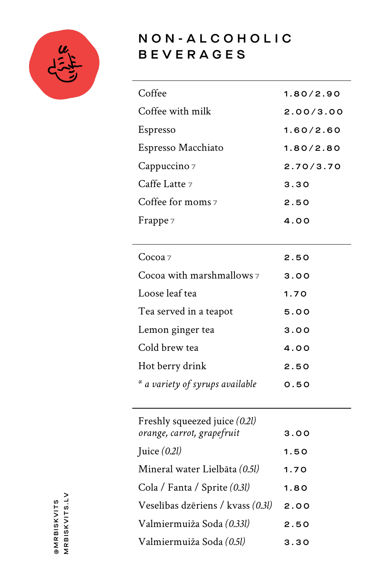

## NON - ALCOHOLIC BEVERAGES

| 1.80/2.90 |
|-----------|
| 2.00/3.00 |
| 1.60/2.60 |
| 1.80/2.80 |
| 2.70/3.70 |
| 3.30      |
| 2.50      |
| 4.00      |
|           |

| Cocoa z                         | 2.50 |
|---------------------------------|------|
| Cocoa with marshmallows 7       | 3.00 |
| Loose leaf tea                  | 1.70 |
| Tea served in a teapot          | 5.00 |
| Lemon ginger tea                | 3.00 |
| Cold brew tea                   | 4.00 |
| Hot berry drink                 | 2.50 |
| * a variety of syrups available | 0.50 |

| Freshly squeezed juice (0.2l)     |      |
|-----------------------------------|------|
| orange, carrot, grapefruit        | 3.00 |
| Juice $(0.2l)$                    | 1.50 |
| Mineral water Lielbāta (0.5l)     | 1.70 |
| Cola / Fanta / Sprite (0.3l)      | 1.80 |
| Veselības dzēriens / kvass (0.31) | 2.00 |
| Valmiermuiža Soda (0.33l)         | 2.50 |
| Valmiermuiža Soda (0.51)          | 3.30 |

MRBISKVITS.LV MRBISKVITS.LV @MRBISKVITS @MRBISKVITS